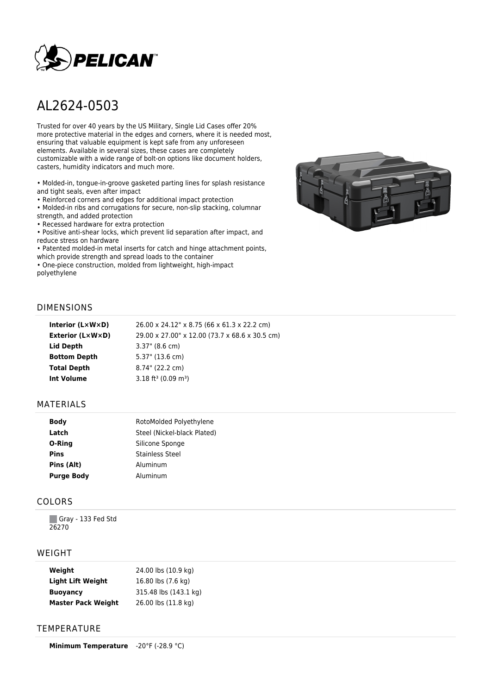

# AL2624-0503

Trusted for over 40 years by the US Military, Single Lid Cases offer 20% more protective material in the edges and corners, where it is needed most, ensuring that valuable equipment is kept safe from any unforeseen elements. Available in several sizes, these cases are completely customizable with a wide range of bolt-on options like document holders, casters, humidity indicators and much more.

• Molded-in, tongue-in-groove gasketed parting lines for splash resistance and tight seals, even after impact

• Reinforced corners and edges for additional impact protection

• Molded-in ribs and corrugations for secure, non-slip stacking, columnar strength, and added protection

• Recessed hardware for extra protection

• Positive anti-shear locks, which prevent lid separation after impact, and reduce stress on hardware

• Patented molded-in metal inserts for catch and hinge attachment points, which provide strength and spread loads to the container

• One-piece construction, molded from lightweight, high-impact polyethylene



#### DIMENSIONS

| Interior (LxWxD)    | 26.00 x 24.12" x 8.75 (66 x 61.3 x 22.2 cm)    |
|---------------------|------------------------------------------------|
| Exterior (L×W×D)    | 29.00 x 27.00" x 12.00 (73.7 x 68.6 x 30.5 cm) |
| Lid Depth           | $3.37$ " (8.6 cm)                              |
| <b>Bottom Depth</b> | 5.37" (13.6 cm)                                |
| <b>Total Depth</b>  | 8.74" (22.2 cm)                                |
| <b>Int Volume</b>   | $3.18$ ft <sup>3</sup> (0.09 m <sup>3</sup> )  |
|                     |                                                |

#### MATERIALS

| <b>Body</b>       | RotoMolded Polyethylene     |
|-------------------|-----------------------------|
| Latch             | Steel (Nickel-black Plated) |
| O-Ring            | Silicone Sponge             |
| <b>Pins</b>       | <b>Stainless Steel</b>      |
| Pins (Alt)        | Aluminum                    |
| <b>Purge Body</b> | Aluminum                    |

## COLORS

Gray - 133 Fed Std 26270

#### WEIGHT

| Weight                    | 24.00 lbs (10.9 kg)   |
|---------------------------|-----------------------|
| <b>Light Lift Weight</b>  | 16.80 lbs (7.6 kg)    |
| <b>Buoyancy</b>           | 315.48 lbs (143.1 kg) |
| <b>Master Pack Weight</b> | 26.00 lbs (11.8 kg)   |

## **TEMPERATURE**

**Minimum Temperature** -20°F (-28.9 °C)